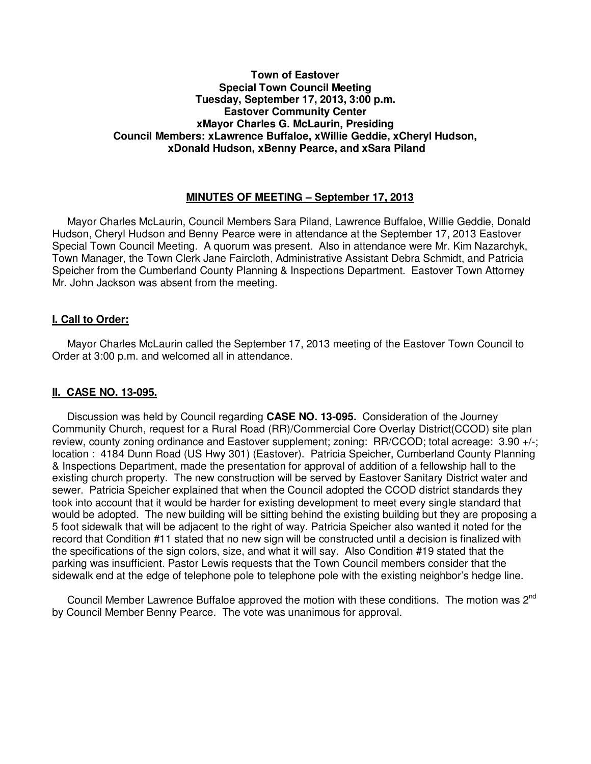### **Town of Eastover Special Town Council Meeting Tuesday, September 17, 2013, 3:00 p.m. Eastover Community Center xMayor Charles G. McLaurin, Presiding Council Members: xLawrence Buffaloe, xWillie Geddie, xCheryl Hudson, xDonald Hudson, xBenny Pearce, and xSara Piland**

### **MINUTES OF MEETING – September 17, 2013**

 Mayor Charles McLaurin, Council Members Sara Piland, Lawrence Buffaloe, Willie Geddie, Donald Hudson, Cheryl Hudson and Benny Pearce were in attendance at the September 17, 2013 Eastover Special Town Council Meeting. A quorum was present. Also in attendance were Mr. Kim Nazarchyk, Town Manager, the Town Clerk Jane Faircloth, Administrative Assistant Debra Schmidt, and Patricia Speicher from the Cumberland County Planning & Inspections Department. Eastover Town Attorney Mr. John Jackson was absent from the meeting.

### **I. Call to Order:**

 Mayor Charles McLaurin called the September 17, 2013 meeting of the Eastover Town Council to Order at 3:00 p.m. and welcomed all in attendance.

### **II. CASE NO. 13-095.**

Discussion was held by Council regarding **CASE NO. 13-095.** Consideration of the Journey Community Church, request for a Rural Road (RR)/Commercial Core Overlay District(CCOD) site plan review, county zoning ordinance and Eastover supplement; zoning: RR/CCOD; total acreage: 3.90 +/-; location : 4184 Dunn Road (US Hwy 301) (Eastover). Patricia Speicher, Cumberland County Planning & Inspections Department, made the presentation for approval of addition of a fellowship hall to the existing church property. The new construction will be served by Eastover Sanitary District water and sewer. Patricia Speicher explained that when the Council adopted the CCOD district standards they took into account that it would be harder for existing development to meet every single standard that would be adopted. The new building will be sitting behind the existing building but they are proposing a 5 foot sidewalk that will be adjacent to the right of way. Patricia Speicher also wanted it noted for the record that Condition #11 stated that no new sign will be constructed until a decision is finalized with the specifications of the sign colors, size, and what it will say. Also Condition #19 stated that the parking was insufficient. Pastor Lewis requests that the Town Council members consider that the sidewalk end at the edge of telephone pole to telephone pole with the existing neighbor's hedge line.

Council Member Lawrence Buffaloe approved the motion with these conditions. The motion was 2<sup>nd</sup> by Council Member Benny Pearce. The vote was unanimous for approval.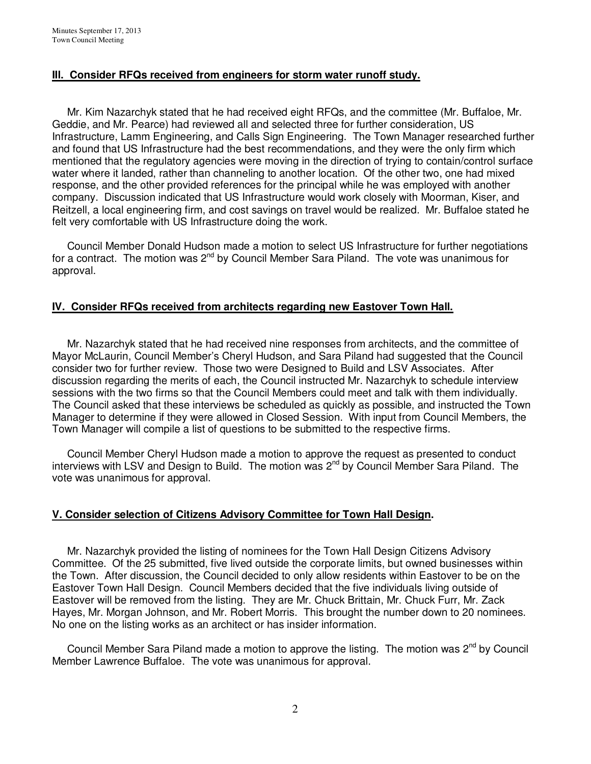# **IIl. Consider RFQs received from engineers for storm water runoff study.**

 Mr. Kim Nazarchyk stated that he had received eight RFQs, and the committee (Mr. Buffaloe, Mr. Geddie, and Mr. Pearce) had reviewed all and selected three for further consideration, US Infrastructure, Lamm Engineering, and Calls Sign Engineering. The Town Manager researched further and found that US Infrastructure had the best recommendations, and they were the only firm which mentioned that the regulatory agencies were moving in the direction of trying to contain/control surface water where it landed, rather than channeling to another location. Of the other two, one had mixed response, and the other provided references for the principal while he was employed with another company. Discussion indicated that US Infrastructure would work closely with Moorman, Kiser, and Reitzell, a local engineering firm, and cost savings on travel would be realized. Mr. Buffaloe stated he felt very comfortable with US Infrastructure doing the work.

 Council Member Donald Hudson made a motion to select US Infrastructure for further negotiations for a contract. The motion was  $2<sup>nd</sup>$  by Council Member Sara Piland. The vote was unanimous for approval.

# **IV. Consider RFQs received from architects regarding new Eastover Town Hall.**

 Mr. Nazarchyk stated that he had received nine responses from architects, and the committee of Mayor McLaurin, Council Member's Cheryl Hudson, and Sara Piland had suggested that the Council consider two for further review. Those two were Designed to Build and LSV Associates. After discussion regarding the merits of each, the Council instructed Mr. Nazarchyk to schedule interview sessions with the two firms so that the Council Members could meet and talk with them individually. The Council asked that these interviews be scheduled as quickly as possible, and instructed the Town Manager to determine if they were allowed in Closed Session. With input from Council Members, the Town Manager will compile a list of questions to be submitted to the respective firms.

 Council Member Cheryl Hudson made a motion to approve the request as presented to conduct interviews with LSV and Design to Build. The motion was 2<sup>nd</sup> by Council Member Sara Piland. The vote was unanimous for approval.

### **V. Consider selection of Citizens Advisory Committee for Town Hall Design.**

 Mr. Nazarchyk provided the listing of nominees for the Town Hall Design Citizens Advisory Committee. Of the 25 submitted, five lived outside the corporate limits, but owned businesses within the Town. After discussion, the Council decided to only allow residents within Eastover to be on the Eastover Town Hall Design. Council Members decided that the five individuals living outside of Eastover will be removed from the listing. They are Mr. Chuck Brittain, Mr. Chuck Furr, Mr. Zack Hayes, Mr. Morgan Johnson, and Mr. Robert Morris. This brought the number down to 20 nominees. No one on the listing works as an architect or has insider information.

Council Member Sara Piland made a motion to approve the listing. The motion was 2<sup>nd</sup> by Council Member Lawrence Buffaloe. The vote was unanimous for approval.